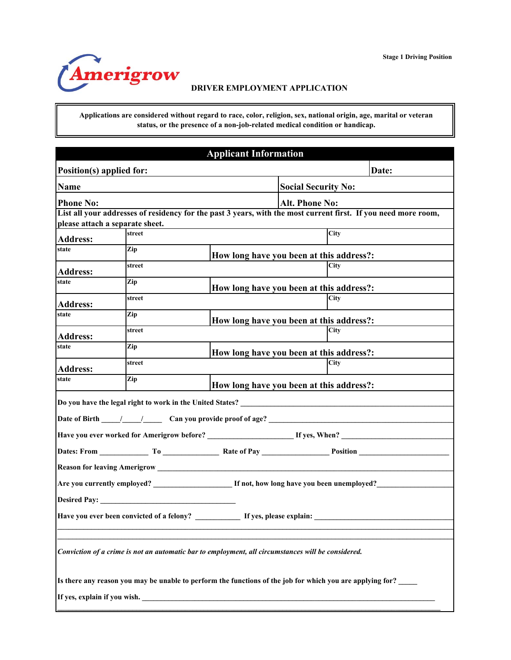

**Applications are considered without regard to race, color, religion, sex, national origin, age, marital or veteran status, or the presence of a non-job-related medical condition or handicap.**

|                                 |                                           | <b>Applicant Information</b>                                                                       |                                                                                                                |
|---------------------------------|-------------------------------------------|----------------------------------------------------------------------------------------------------|----------------------------------------------------------------------------------------------------------------|
| Position(s) applied for:        |                                           |                                                                                                    | Date:                                                                                                          |
| <b>Name</b>                     |                                           |                                                                                                    | <b>Social Security No:</b>                                                                                     |
| <b>Phone No:</b>                |                                           |                                                                                                    | <b>Alt. Phone No:</b>                                                                                          |
|                                 |                                           |                                                                                                    | List all your addresses of residency for the past 3 years, with the most current first. If you need more room, |
| please attach a separate sheet. | street                                    |                                                                                                    | City                                                                                                           |
| <b>Address:</b>                 |                                           |                                                                                                    |                                                                                                                |
| state                           | Zip                                       |                                                                                                    | How long have you been at this address?:                                                                       |
| <b>Address:</b>                 | street                                    |                                                                                                    | City                                                                                                           |
| state                           | Zip                                       |                                                                                                    | How long have you been at this address?:                                                                       |
| <b>Address:</b>                 | street                                    |                                                                                                    | City                                                                                                           |
| state                           | Zip                                       |                                                                                                    | How long have you been at this address?:                                                                       |
| <b>Address:</b>                 | street                                    |                                                                                                    | City                                                                                                           |
| state                           | Zip                                       |                                                                                                    | How long have you been at this address?:                                                                       |
| <b>Address:</b>                 | street                                    |                                                                                                    | City                                                                                                           |
| state                           | Zip                                       |                                                                                                    | How long have you been at this address?:                                                                       |
|                                 |                                           | Do you have the legal right to work in the United States? ______________________                   |                                                                                                                |
|                                 |                                           |                                                                                                    |                                                                                                                |
|                                 |                                           |                                                                                                    |                                                                                                                |
|                                 |                                           |                                                                                                    |                                                                                                                |
|                                 |                                           |                                                                                                    |                                                                                                                |
|                                 |                                           |                                                                                                    |                                                                                                                |
| <b>Desired Pay:</b>             |                                           |                                                                                                    |                                                                                                                |
|                                 | Have you ever been convicted of a felony? |                                                                                                    | If yes, please explain:                                                                                        |
|                                 |                                           | Conviction of a crime is not an automatic bar to employment, all circumstances will be considered. |                                                                                                                |
|                                 |                                           |                                                                                                    | Is there any reason you may be unable to perform the functions of the job for which you are applying for?      |
|                                 |                                           | If yes, explain if you wish.                                                                       |                                                                                                                |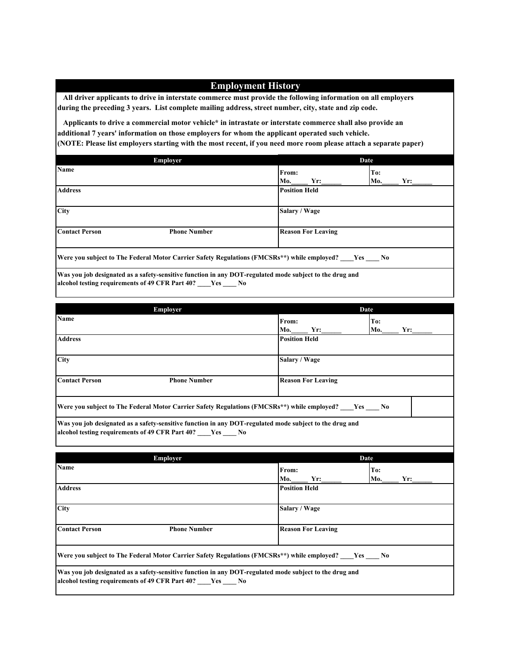## **Employment History**

 **All driver applicants to drive in interstate commerce must provide the following information on all employers during the preceding 3 years. List complete mailing address, street number, city, state and zip code.** 

 **Applicants to drive a commercial motor vehicle\* in intrastate or interstate commerce shall also provide an additional 7 years' information on those employers for whom the applicant operated such vehicle. (NOTE: Please list employers starting with the most recent, if you need more room please attach a separate paper)**

|                       | Employer                                                                                           |                           | Date              |  |  |  |
|-----------------------|----------------------------------------------------------------------------------------------------|---------------------------|-------------------|--|--|--|
| <b>Name</b>           |                                                                                                    | From:<br>Mo.<br>$Yr$ :    | To:<br>Mo.<br>Yr: |  |  |  |
| <b>Address</b>        |                                                                                                    | <b>Position Held</b>      |                   |  |  |  |
| City                  |                                                                                                    | Salary / Wage             |                   |  |  |  |
| <b>Contact Person</b> | <b>Phone Number</b>                                                                                | <b>Reason For Leaving</b> |                   |  |  |  |
|                       | Were you subject to The Federal Motor Carrier Safety Regulations (FMCSRs**) while employed? Yes No |                           |                   |  |  |  |

**Was you job designated as a safety-sensitive function in any DOT-regulated mode subject to the drug and alcohol testing requirements of 49 CFR Part 40? \_\_\_\_Yes \_\_\_\_ No**

|                       | Employer                                                                                                                                                          |                           | <b>Date</b>       |  |
|-----------------------|-------------------------------------------------------------------------------------------------------------------------------------------------------------------|---------------------------|-------------------|--|
| Name                  |                                                                                                                                                                   | From:<br>Mo.<br>Yr:       | To:<br>Mo.<br>Yr: |  |
| <b>Address</b>        |                                                                                                                                                                   | <b>Position Held</b>      |                   |  |
| City                  |                                                                                                                                                                   | Salary / Wage             |                   |  |
| <b>Contact Person</b> | <b>Phone Number</b>                                                                                                                                               | <b>Reason For Leaving</b> |                   |  |
|                       | Were you subject to The Federal Motor Carrier Safety Regulations (FMCSRs**) while employed? ____Yes _____ No                                                      |                           |                   |  |
|                       |                                                                                                                                                                   |                           |                   |  |
|                       | Was you job designated as a safety-sensitive function in any DOT-regulated mode subject to the drug and<br>alcohol testing requirements of 49 CFR Part 40? Ves No |                           |                   |  |
|                       | Employer                                                                                                                                                          |                           | Date              |  |
| <b>Name</b>           |                                                                                                                                                                   | From:<br>Mo.<br>Yr:       | To:<br>Mo.<br>Yr: |  |
| <b>Address</b>        |                                                                                                                                                                   | <b>Position Held</b>      |                   |  |
| <b>City</b>           |                                                                                                                                                                   | Salary / Wage             |                   |  |

**Were you subject to The Federal Motor Carrier Safety Regulations (FMCSRs\*\*) while employed? \_\_\_\_Yes \_\_\_\_ No**

**Was you job designated as a safety-sensitive function in any DOT-regulated mode subject to the drug and alcohol testing requirements of 49 CFR Part 40? \_\_\_\_Yes \_\_\_\_ No**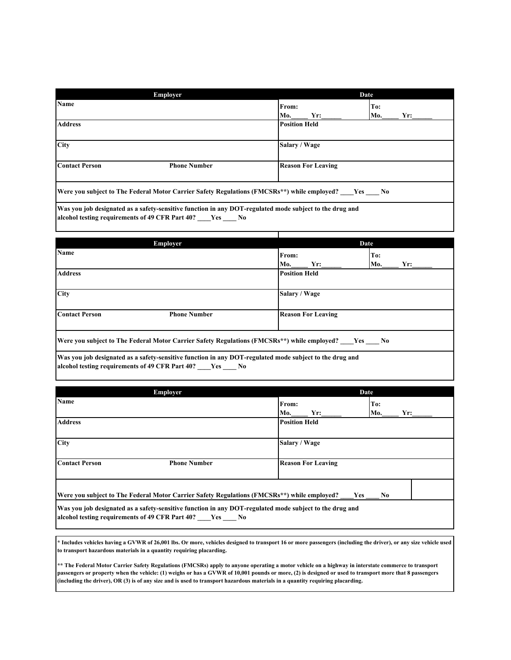|                                                 | Employer                                                                                                                     |                           | Date              |
|-------------------------------------------------|------------------------------------------------------------------------------------------------------------------------------|---------------------------|-------------------|
| Name                                            |                                                                                                                              | From:<br>Yr:<br>Mo.       | To:<br>Mo.<br>Yr: |
| <b>Address</b>                                  |                                                                                                                              | <b>Position Held</b>      |                   |
| <b>City</b>                                     |                                                                                                                              | Salary / Wage             |                   |
| <b>Contact Person</b>                           | <b>Phone Number</b>                                                                                                          | <b>Reason For Leaving</b> |                   |
|                                                 | Were you subject to The Federal Motor Carrier Safety Regulations (FMCSRs**) while employed? Yes No                           |                           |                   |
| alcohol testing requirements of 49 CFR Part 40? | Was you job designated as a safety-sensitive function in any DOT-regulated mode subject to the drug and<br><b>Yes</b><br>No. |                           |                   |

|                       | Employer                                                                                                                                                          |                           | Date              |
|-----------------------|-------------------------------------------------------------------------------------------------------------------------------------------------------------------|---------------------------|-------------------|
| <b>Name</b>           |                                                                                                                                                                   | From:<br>Mo.<br>Yr:       | To:<br>Mo.<br>Yr: |
| <b>Address</b>        |                                                                                                                                                                   | <b>Position Held</b>      |                   |
| <b>City</b>           |                                                                                                                                                                   | Salary / Wage             |                   |
| <b>Contact Person</b> | <b>Phone Number</b>                                                                                                                                               | <b>Reason For Leaving</b> |                   |
|                       | Were you subject to The Federal Motor Carrier Safety Regulations (FMCSRs**) while employed? Yes No                                                                |                           |                   |
|                       | Was you job designated as a safety-sensitive function in any DOT-regulated mode subject to the drug and<br>alcohol testing requirements of 49 CFR Part 40? Yes No |                           |                   |

|                       | Employer                                                                                                                                                          |                           | Date              |  |  |  |
|-----------------------|-------------------------------------------------------------------------------------------------------------------------------------------------------------------|---------------------------|-------------------|--|--|--|
| Name                  |                                                                                                                                                                   | From:<br>Mo.<br>Yr:       | To:<br>Mo.<br>Yr: |  |  |  |
| <b>Address</b>        |                                                                                                                                                                   | <b>Position Held</b>      |                   |  |  |  |
| <b>City</b>           |                                                                                                                                                                   | Salary / Wage             |                   |  |  |  |
| <b>Contact Person</b> | <b>Phone Number</b>                                                                                                                                               | <b>Reason For Leaving</b> |                   |  |  |  |
|                       | Were you subject to The Federal Motor Carrier Safety Regulations (FMCSRs**) while employed?                                                                       |                           | <b>Yes</b><br>No  |  |  |  |
|                       | Was you job designated as a safety-sensitive function in any DOT-regulated mode subject to the drug and<br>alcohol testing requirements of 49 CFR Part 40? Yes No |                           |                   |  |  |  |

**\* Includes vehicles having a GVWR of 26,001 lbs. Or more, vehicles designed to transport 16 or more passengers (including the driver), or any size vehicle used to transport hazardous materials in a quantity requiring placarding.** 

**\*\* The Federal Motor Carrier Safety Regulations (FMCSRs) apply to anyone operating a motor vehicle on a highway in interstate commerce to transport passengers or property when the vehicle: (1) weighs or has a GVWR of 10,001 pounds or more, (2) is designed or used to transport more that 8 passengers (including the driver), OR (3) is of any size and is used to transport hazardous materials in a quantity requiring placarding.**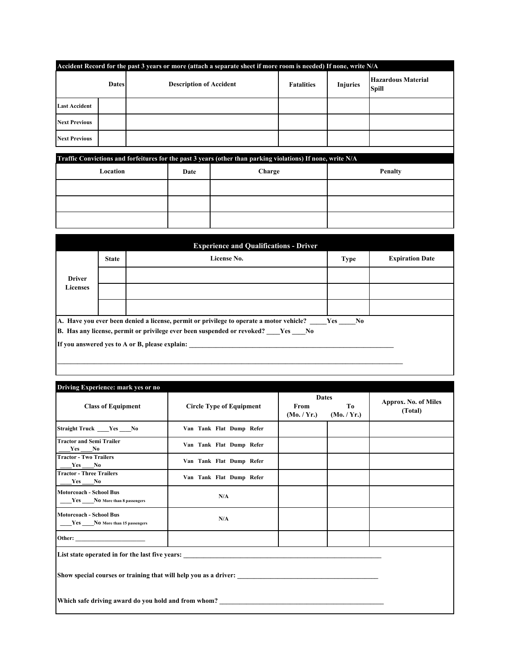| Accident Record for the past 3 years or more (attach a separate sheet if more room is needed) If none, write N/A |  |                                |                                      |  |                                           |  |  |  |
|------------------------------------------------------------------------------------------------------------------|--|--------------------------------|--------------------------------------|--|-------------------------------------------|--|--|--|
| <b>Dates</b>                                                                                                     |  | <b>Description of Accident</b> | <b>Injuries</b><br><b>Fatalities</b> |  | <b>Hazardous Material</b><br><b>Spill</b> |  |  |  |
| <b>Last Accident</b>                                                                                             |  |                                |                                      |  |                                           |  |  |  |
| <b>Next Previous</b>                                                                                             |  |                                |                                      |  |                                           |  |  |  |
| <b>Next Previous</b>                                                                                             |  |                                |                                      |  |                                           |  |  |  |
|                                                                                                                  |  |                                |                                      |  |                                           |  |  |  |

| Traffic Convictions and forfeitures for the past 3 years (other than parking violations) If none, write N/A |      |        |         |  |  |  |  |
|-------------------------------------------------------------------------------------------------------------|------|--------|---------|--|--|--|--|
| Location                                                                                                    | Date | Charge | Penalty |  |  |  |  |
|                                                                                                             |      |        |         |  |  |  |  |
|                                                                                                             |      |        |         |  |  |  |  |

| <b>Experience and Qualifications - Driver</b> |              |                                                                                             |             |                        |  |  |  |  |
|-----------------------------------------------|--------------|---------------------------------------------------------------------------------------------|-------------|------------------------|--|--|--|--|
|                                               | <b>State</b> | License No.                                                                                 | <b>Type</b> | <b>Expiration Date</b> |  |  |  |  |
| <b>Driver</b>                                 |              |                                                                                             |             |                        |  |  |  |  |
| <b>Licenses</b>                               |              |                                                                                             |             |                        |  |  |  |  |
|                                               |              |                                                                                             |             |                        |  |  |  |  |
|                                               |              | A. Have you ever been denied a license, permit or privilege to operate a motor vehicle? Yes | $N_{0}$     |                        |  |  |  |  |
|                                               |              | B. Has any license, permit or privilege ever been suspended or revoked? Yes No              |             |                        |  |  |  |  |
|                                               |              | If you answered yes to A or B, please explain:                                              |             |                        |  |  |  |  |
|                                               |              |                                                                                             |             |                        |  |  |  |  |

| Driving Experience: mark yes or no                                                                                                                                                                                             |                                                 |                     |                                   |                                        |  |  |  |
|--------------------------------------------------------------------------------------------------------------------------------------------------------------------------------------------------------------------------------|-------------------------------------------------|---------------------|-----------------------------------|----------------------------------------|--|--|--|
| <b>Class of Equipment</b>                                                                                                                                                                                                      | <b>Circle Type of Equipment</b>                 | From<br>(Mo. / Yr.) | <b>Dates</b><br>To<br>(Mo. / Yr.) | <b>Approx. No. of Miles</b><br>(Total) |  |  |  |
| Straight Truck ____Yes ____No                                                                                                                                                                                                  | Van Tank Flat Dump Refer                        |                     |                                   |                                        |  |  |  |
| <b>Tractor and Semi Trailer</b><br>$Yes$ No                                                                                                                                                                                    | Van Tank Flat Dump Refer                        |                     |                                   |                                        |  |  |  |
| <b>Tractor - Two Trailers</b><br>$Yes$ No                                                                                                                                                                                      | Van Tank Flat Dump Refer                        |                     |                                   |                                        |  |  |  |
| <b>Tractor - Three Trailers</b><br>$Yes$ No                                                                                                                                                                                    | Van Tank Flat Dump Refer                        |                     |                                   |                                        |  |  |  |
| <b>Motorcoach - School Bus</b><br>Yes No More than 8 passengers                                                                                                                                                                | N/A                                             |                     |                                   |                                        |  |  |  |
| <b>Motorcoach - School Bus</b><br>Yes No More than 15 passengers                                                                                                                                                               | N/A                                             |                     |                                   |                                        |  |  |  |
| Other: and the contract of the contract of the contract of the contract of the contract of the contract of the contract of the contract of the contract of the contract of the contract of the contract of the contract of the |                                                 |                     |                                   |                                        |  |  |  |
|                                                                                                                                                                                                                                | List state operated in for the last five years: |                     |                                   |                                        |  |  |  |
|                                                                                                                                                                                                                                |                                                 |                     |                                   |                                        |  |  |  |
| Which safe driving award do you hold and from whom?                                                                                                                                                                            |                                                 |                     |                                   |                                        |  |  |  |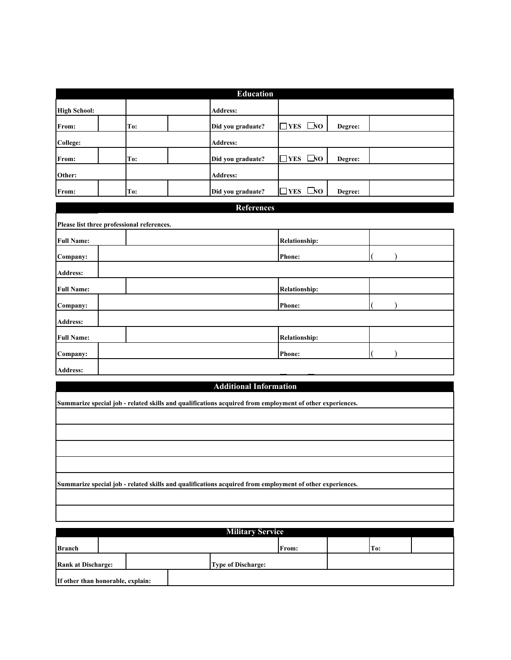|                     |                                            | <b>Education</b>                                                                                         |                               |         |  |  |
|---------------------|--------------------------------------------|----------------------------------------------------------------------------------------------------------|-------------------------------|---------|--|--|
| <b>High School:</b> |                                            | Address:                                                                                                 |                               |         |  |  |
| From:               | To:                                        | Did you graduate?                                                                                        | <b>PYES</b> $\Box$ <b>YES</b> | Degree: |  |  |
| <b>College:</b>     |                                            | Address:                                                                                                 |                               |         |  |  |
| From:               | To:                                        | Did you graduate?                                                                                        | <b>TYES</b> □NO               | Degree: |  |  |
| Other:              |                                            | Address:                                                                                                 |                               |         |  |  |
| From:               | To:                                        | Did you graduate?                                                                                        | $\Box$ NO<br>$\Gamma$         | Degree: |  |  |
|                     |                                            | <b>References</b>                                                                                        |                               |         |  |  |
|                     | Please list three professional references. |                                                                                                          |                               |         |  |  |
| <b>Full Name:</b>   |                                            |                                                                                                          | <b>Relationship:</b>          |         |  |  |
| Company:            |                                            |                                                                                                          | <b>Phone:</b>                 |         |  |  |
| Address:            |                                            |                                                                                                          |                               |         |  |  |
| <b>Full Name:</b>   |                                            |                                                                                                          | <b>Relationship:</b>          |         |  |  |
| Company:            |                                            |                                                                                                          | Phone:                        |         |  |  |
| Address:            |                                            |                                                                                                          |                               |         |  |  |
| <b>Full Name:</b>   |                                            |                                                                                                          | <b>Relationship:</b>          |         |  |  |
| Company:            |                                            |                                                                                                          | Phone:                        |         |  |  |
| Address:            |                                            |                                                                                                          |                               |         |  |  |
|                     |                                            | <b>Additional Information</b>                                                                            |                               |         |  |  |
|                     |                                            | Summarize special job - related skills and qualifications acquired from employment of other experiences. |                               |         |  |  |
|                     |                                            |                                                                                                          |                               |         |  |  |
|                     |                                            |                                                                                                          |                               |         |  |  |
|                     |                                            |                                                                                                          |                               |         |  |  |
|                     |                                            |                                                                                                          |                               |         |  |  |
|                     |                                            |                                                                                                          |                               |         |  |  |

**Summarize special job - related skills and qualifications acquired from employment of other experiences.**

| <b>Military Service</b>           |  |  |  |                           |       |  |     |  |
|-----------------------------------|--|--|--|---------------------------|-------|--|-----|--|
| <b>Branch</b>                     |  |  |  |                           | From: |  | To: |  |
| <b>Rank at Discharge:</b>         |  |  |  | <b>Type of Discharge:</b> |       |  |     |  |
| If other than honorable, explain: |  |  |  |                           |       |  |     |  |